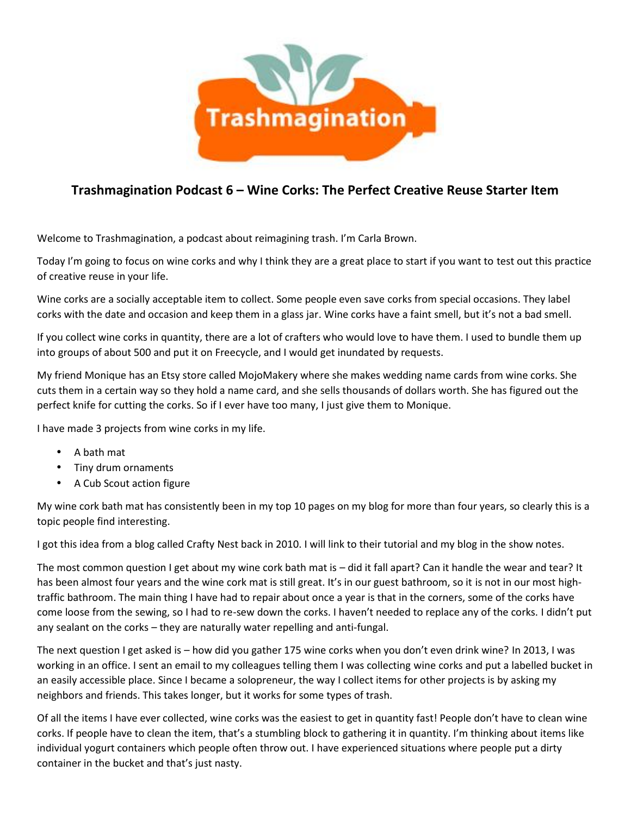

## **Trashmagination Podcast 6 – Wine Corks: The Perfect Creative Reuse Starter Item**

Welcome to Trashmagination, a podcast about reimagining trash. I'm Carla Brown.

Today I'm going to focus on wine corks and why I think they are a great place to start if you want to test out this practice of creative reuse in your life.

Wine corks are a socially acceptable item to collect. Some people even save corks from special occasions. They label corks with the date and occasion and keep them in a glass jar. Wine corks have a faint smell, but it's not a bad smell.

If you collect wine corks in quantity, there are a lot of crafters who would love to have them. I used to bundle them up into groups of about 500 and put it on Freecycle, and I would get inundated by requests.

My friend Monique has an Etsy store called MojoMakery where she makes wedding name cards from wine corks. She cuts them in a certain way so they hold a name card, and she sells thousands of dollars worth. She has figured out the perfect knife for cutting the corks. So if I ever have too many, I just give them to Monique.

I have made 3 projects from wine corks in my life.

- A bath mat
- Tiny drum ornaments
- A Cub Scout action figure

My wine cork bath mat has consistently been in my top 10 pages on my blog for more than four years, so clearly this is a topic people find interesting.

I got this idea from a blog called Crafty Nest back in 2010. I will link to their tutorial and my blog in the show notes.

The most common question I get about my wine cork bath mat is – did it fall apart? Can it handle the wear and tear? It has been almost four years and the wine cork mat is still great. It's in our guest bathroom, so it is not in our most high traffic bathroom. The main thing I have had to repair about once a year is that in the corners, some of the corks have come loose from the sewing, so I had to re-sew down the corks. I haven't needed to replace any of the corks. I didn't put any sealant on the corks – they are naturally water repelling and anti-fungal.

The next question I get asked is – how did you gather 175 wine corks when you don't even drink wine? In 2013, I was working in an office. I sent an email to my colleagues telling them I was collecting wine corks and put a labelled bucket in an easily accessible place. Since I became a solopreneur, the way I collect items for other projects is by asking my neighbors and friends. This takes longer, but it works for some types of trash.

Of all the items I have ever collected, wine corks was the easiest to get in quantity fast! People don't have to clean wine corks. If people have to clean the item, that's a stumbling block to gathering it in quantity. I'm thinking about items like individual yogurt containers which people often throw out. I have experienced situations where people put a dirty container in the bucket and that's just nasty.